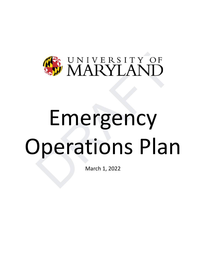

# **DES UNIVERSITY OF**<br>
Emergency<br>
Derations Plan Emergency Operations Plan

March 1, 2022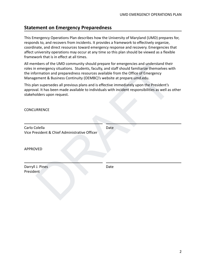# <span id="page-1-0"></span>**Statement on Emergency Preparedness**

This Emergency Operations Plan describes how the University of Maryland (UMD) prepares for, responds to, and recovers from incidents. It provides a framework to effectively organize, coordinate, and direct resources toward emergency response and recovery. Emergencies that affect university operations may occur at any time so this plan should be viewed as a flexible framework that is in effect at all times.

All members of the UMD community should prepare for emergencies and understand their roles in emergency situations. Students, faculty, and staff should familiarize themselves with the information and preparedness resources available from the Office of Emergency Management & Business Continuity (OEMBC)'s website at prepare.umd.edu.

| All members of the UMD community should prepare for emergencies and understand their<br>roles in emergency situations. Students, faculty, and staff should familiarize themselves with<br>the information and preparedness resources available from the Office of Emergency<br>Management & Business Continuity (OEMBC)'s website at prepare.umd.edu. |
|-------------------------------------------------------------------------------------------------------------------------------------------------------------------------------------------------------------------------------------------------------------------------------------------------------------------------------------------------------|
| This plan supersedes all previous plans and is effective immediately upon the President's<br>approval. It has been made available to individuals with incident responsibilities as well as other                                                                                                                                                      |
|                                                                                                                                                                                                                                                                                                                                                       |
| Date                                                                                                                                                                                                                                                                                                                                                  |
|                                                                                                                                                                                                                                                                                                                                                       |
| Date                                                                                                                                                                                                                                                                                                                                                  |
|                                                                                                                                                                                                                                                                                                                                                       |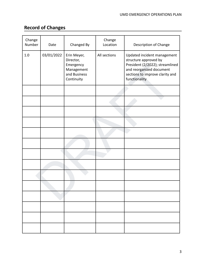<u> 1989 - Johann Barn, mars ann an t-Amhain Aonaich an t-Aonaich an t-Aonaich ann an t-Aonaich ann an t-Aonaich</u>

# <span id="page-2-0"></span>**Record of Changes**

| Change<br>Number | Date       | Changed By                                                                        | Change<br>Location | Description of Change                                                                                                                                                   |
|------------------|------------|-----------------------------------------------------------------------------------|--------------------|-------------------------------------------------------------------------------------------------------------------------------------------------------------------------|
| $1.0\,$          | 03/01/2022 | Erin Meyer,<br>Director,<br>Emergency<br>Management<br>and Business<br>Continuity | All sections       | Updated incident management<br>structure approved by<br>President (2/2022); streamlined<br>and reorganized document<br>sections to improve clarity and<br>functionality |
|                  |            |                                                                                   |                    |                                                                                                                                                                         |
|                  |            |                                                                                   |                    |                                                                                                                                                                         |
|                  |            |                                                                                   |                    |                                                                                                                                                                         |
|                  |            |                                                                                   |                    |                                                                                                                                                                         |
|                  |            |                                                                                   |                    |                                                                                                                                                                         |
|                  |            |                                                                                   |                    |                                                                                                                                                                         |
|                  |            |                                                                                   |                    |                                                                                                                                                                         |
|                  |            |                                                                                   |                    |                                                                                                                                                                         |
|                  |            |                                                                                   |                    |                                                                                                                                                                         |
|                  |            |                                                                                   |                    |                                                                                                                                                                         |
|                  |            |                                                                                   |                    |                                                                                                                                                                         |
|                  |            |                                                                                   |                    |                                                                                                                                                                         |
|                  |            |                                                                                   |                    |                                                                                                                                                                         |
|                  |            |                                                                                   |                    |                                                                                                                                                                         |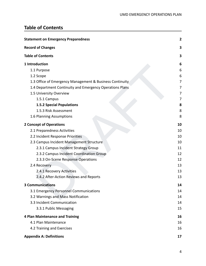$\overline{\phantom{a}}$ 

# <span id="page-3-0"></span>**Table of Contents**

| <b>Statement on Emergency Preparedness</b>               | $\overline{2}$ |  |
|----------------------------------------------------------|----------------|--|
| <b>Record of Changes</b>                                 | 3              |  |
| <b>Table of Contents</b>                                 | 3              |  |
| 1 Introduction                                           |                |  |
| 1.1 Purpose                                              | 6              |  |
| 1.2 Scope                                                | 6              |  |
| 1.3 Office of Emergency Management & Business Continuity | 7              |  |
| 1.4 Department Continuity and Emergency Operations Plans | 7              |  |
| 1.5 University Overview                                  | 7              |  |
| 1.5.1 Campus                                             | 7              |  |
| <b>1.5.2 Special Populations</b>                         | 8              |  |
| 1.5.3 Risk Assessment                                    | 8              |  |
| 1.6 Planning Assumptions                                 | 8              |  |
| <b>2 Concept of Operations</b>                           | 10             |  |
| 2.1 Preparedness Activities                              | 10             |  |
| 2.2 Incident Response Priorities                         | 10             |  |
| 2.3 Campus Incident Management Structure                 | 10             |  |
| 2.3.1 Campus Incident Strategy Group                     | 11             |  |
| 2.3.2 Campus Incident Coordination Group                 | 12             |  |
| 2.3.3 On-Scene Response Operations                       | 12             |  |
| 2.4 Recovery                                             | 13             |  |
| 2.4.1 Recovery Activities                                | 13             |  |
| 2.4.2 After-Action Reviews and Reports                   | 13             |  |
| <b>3 Communications</b>                                  | 14             |  |
| 3.1 Emergency Personnel Communications                   | 14             |  |
| 3.2 Warnings and Mass Notification                       | 14             |  |
| 3.3 Incident Communication                               | 14             |  |
| 3.3.1 Public Messaging                                   | 15             |  |
| 4 Plan Maintenance and Training                          | 16             |  |
| 4.1 Plan Maintenance                                     | 16             |  |
| 4.2 Training and Exercises                               | 16             |  |
| <b>Appendix A: Definitions</b>                           | 17             |  |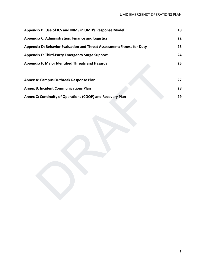| Appendix B: Use of ICS and NIMS in UMD's Response Model                | 18 |
|------------------------------------------------------------------------|----|
| <b>Appendix C: Administration, Finance and Logistics</b>               | 22 |
| Appendix D: Behavior Evaluation and Threat Assessment/Fitness for Duty | 23 |
| <b>Appendix E: Third-Party Emergency Surge Support</b>                 | 24 |
| <b>Appendix F: Major Identified Threats and Hazards</b>                | 25 |
|                                                                        |    |
| Annex A: Campus Outbreak Response Plan                                 | 27 |
| <b>Annex B: Incident Communications Plan</b>                           | 28 |
| Annex C: Continuity of Operations (COOP) and Recovery Plan             | 29 |
|                                                                        |    |
|                                                                        |    |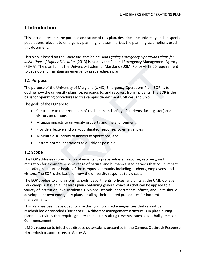# <span id="page-5-0"></span>**1 Introduction**

This section presents the purpose and scope of this plan, describes the university and its special populations relevant to emergency planning, and summarizes the planning assumptions used in this document.

This plan is based on the *Guide for Developing High Quality Emergency Operations Plans for Institutions of Higher Education* (2013) issued by the Federal Emergency Management Agency (FEMA). The plan fulfills the University System of Maryland (USM) Policy VI-13.00 requirement to develop and maintain an emergency preparedness plan.

## <span id="page-5-1"></span>**1.1 Purpose**

The purpose of the University of Maryland (UMD) Emergency Operations Plan (EOP) is to outline how the university plans for, responds to, and recovers from incidents. The EOP is the basis for operating procedures across campus departments, offices, and units.

The goals of the EOP are to:

- Contribute to the protection of the health and safety of students, faculty, staff, and visitors on campus
- Mitigate impacts to university property and the environment
- Provide effective and well-coordinated responses to emergencies
- Minimize disruptions to university operations, and
- Restore normal operations as quickly as possible

#### <span id="page-5-2"></span>**1.2 Scope**

The EOP addresses coordination of emergency preparedness, response, recovery, and mitigation for a comprehensive range of natural and human-caused hazards that could impact the safety, security, or health of the campus community including students, employees, and visitors. The EOP is the basis for how the university responds to a disaster.

). The plan fulfills the University System of Maryland (USM) Policy VI-13.00 requirement<br>elop and maintain an emergency preparedness plan.<br> **urpose**<br>
or the University of Maryland (UMD) Emergency Operations Plan (EOP) is t The EOP applies to all divisions, schools, departments, offices, and units at the UMD College Park campus. It is an all-hazards plan containing general concepts that can be applied to a variety of institution-level incidents. Divisions, schools, departments, offices, and units should develop their own emergency plans detailing their tailored procedures for incident management.

This plan has been developed for use during unplanned emergencies that cannot be rescheduled or canceled ("incidents"). A different management structure is in place during planned activities that require greater than usual staffing ("events" such as football games or Commencement).

UMD's response to infectious disease outbreaks is presented in the Campus Outbreak Response Plan, which is summarized in Annex A.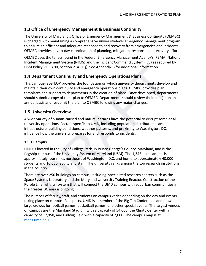## <span id="page-6-0"></span>**1.3 Office of Emergency Management & Business Continuity**

The University of Maryland's Office of Emergency Management & Business Continuity (OEMBC) is charged with maintaining a comprehensive university-level emergency management program to ensure an efficient and adequate response to and recovery from emergencies and incidents. OEMBC provides day-to-day coordination of planning, mitigation, response and recovery efforts.

OEMBC uses the tenets found in the Federal Emergency Management Agency's (FEMA) National Incident Management System (NIMS) and the Incident Command System (ICS) as required by USM Policy VI–13.00, Section 2. A. 1. j). See Appendix B for additional information.

#### <span id="page-6-1"></span>**1.4 Department Continuity and Emergency Operations Plans**

This campus-level EOP provides the foundation on which university departments develop and maintain their own continuity and emergency operations plans. OEMBC provides plan templates and support to departments in the creation of plans. Once developed, departments should submit a copy of their plan to OEMBC. Departments should review their plan(s) on an annual basis and resubmit the plan to OEMBC following any major changes.

#### <span id="page-6-2"></span>**1.5 University Overview**

A wide variety of human-caused and natural hazards have the potential to disrupt some or all university operations. Factors specific to UMD, including population distribution, campus infrastructure, building conditions, weather patterns, and proximity to Washington, DC, influence how the university prepares for and responds to incidents.

#### <span id="page-6-3"></span>**1.5.1 Campus**

online y VI-13.00, Section 2. A. 1. J). See Appendix B for additional information.<br>
Colicy VI-13.00, Section 2. A. 1. J). See Appendix B for additional information.<br> **epartment Continuity and Emergency Operations Plans**<br>
m UMD is located in the City of College Park, in Prince George's County, Maryland, and is the flagship campus of the University System of Maryland (USM). The 1,345-acre campus is approximately four miles northeast of Washington, D.C. and home to approximately 40,000 students and 10,000 faculty and staff. The university ranks among the top research institutions in the country.

There are over 250 buildings on campus, including specialized research centers such as the Space Systems Laboratory and the Maryland University Training Reactor. Construction of the Purple Line light rail system that will connect the UMD campus with suburban communities in the greater DC area is ongoing.

The number of faculty, staff, and students on campus varies depending on the day and events taking place on campus. For sports, UMD is a member of the Big Ten Conference and draws large crowds for football games, basketball games, and other special events. The largest venues on campus are the Maryland Stadium with a capacity of 54,000, the Xfinity Center with a capacity of 17,950, and Ludwig Field with a capacity of 7,000. The campus map is at [maps.umd.edu](http://maps.umd.edu/).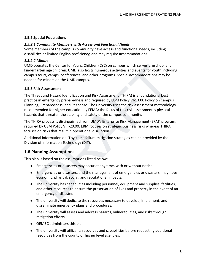#### <span id="page-7-0"></span>**1.5.2 Special Populations**

#### *1.5.2.1 Community Members with Access and Functional Needs*

Some members of the campus community have access and functional needs, including disabilities or limited English proficiency, and may require accommodations.

#### *1.5.2.2 Minors*

UMD operates the Center for Young Children (CYC) on campus which serves preschool and kindergarten age children. UMD also hosts numerous activities and events for youth including campus tours, camps, conferences, and other programs. Special accommodations may be needed for minors on the UMD campus.

#### <span id="page-7-1"></span>**1.5.3 Risk Assessment**

pperates the Center for Young Children (CYC) on campus which serves preschool and<br>graten age children. UMD also hosts numerous activities and events for youth including<br>stours, camps, conferences, and other programs. Speci The Threat and Hazard Identification and Risk Assessment (THIRA) is a foundational best practice in emergency preparedness and required by USM Policy VI-13.00 Policy on Campus Planning, Preparedness, and Response. The university uses the risk assessment methodology recommended for higher education by FEMA; the focus of this risk assessment is physical hazards that threaten the stability and safety of the campus community.

The THIRA process is distinguished from UMD's Enterprise Risk Management (ERM) program, required by USM Policy VIII-20.00. ERM focuses on strategic business risks whereas THIRA focuses on risks that result in operational disruption.

Additional information on IT systems failure mitigation strategies can be provided by the Division of Information Technology (DIT).

## <span id="page-7-2"></span>**1.6 Planning Assumptions**

This plan is based on the assumptions listed below:

- Emergencies or disasters may occur at any time, with or without notice.
- Emergencies or disasters, and the management of emergencies or disasters, may have economic, physical, social, and reputational impacts.
- The university has capabilities including personnel, equipment and supplies, facilities, and other resources to ensure the preservation of lives and property in the event of an emergency or disaster.
- The university will dedicate the resources necessary to develop, implement, and disseminate emergency plans and procedures.
- The university will assess and address hazards, vulnerabilities, and risks through mitigation efforts.
- OEMBC administers this plan.
- The university will utilize its resources and capabilities before requesting additional resources from the county or higher level agencies.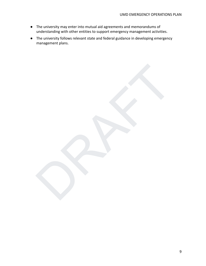- The university may enter into mutual aid agreements and memorandums of understanding with other entities to support emergency management activities.
- The university follows relevant state and federal guidance in developing emergency management plans.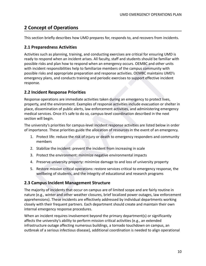# <span id="page-9-0"></span>**2 Concept of Operations**

<span id="page-9-1"></span>This section briefly describes how UMD prepares for, responds to, and recovers from incidents.

## **2.1 Preparedness Activities**

Activities such as planning, training, and conducting exercises are critical for ensuring UMD is ready to respond when an incident arises. All faculty, staff and students should be familiar with possible risks and plan how to respond when an emergency occurs. OEMBC and other units with incident responsibilities help to familiarize members of the campus community with possible risks and appropriate preparation and response activities. OEMBC maintains UMD's emergency plans, and conducts training and periodic exercises to support effective incident response.

## <span id="page-9-2"></span>**2.2 Incident Response Priorities**

is rises and plan now to respond when an emergency occurs. CLeMMC and other units and parameter and parameters of the campus community with<br>relection responsibilities help to familiarize members of the campus community wit Response operations are immediate activities taken during an emergency to protect lives, property, and the environment. Examples of response activities include evacuation or shelter in place, dissemination of public alerts, law enforcement activities, and administering emergency medical services. Once it's safe to do so, campus-level coordination described in the next section will begin.

The university's priorities for campus-level incident response activities are listed below in order of importance. These priorities guide the allocation of resources in the event of an emergency.

- 1. Protect life: reduce the risk of injury or death to emergency responders and community members
- 2. Stabilize the incident: prevent the incident from increasing in scale
- 3. Protect the environment: minimize negative environmental impacts
- 4. Preserve university property: minimize damage to and loss of university property
- 5. Restore mission critical operations: restore services critical to emergency response, the wellbeing of students, and the integrity of educational and research programs

## <span id="page-9-3"></span>**2.3 Campus Incident Management Structure**

The majority of incidents that occur on campus are of limited scope and are fairly routine in nature (e.g., winter and other weather closures, brief localized power outages, law enforcement apprehensions). These incidents are effectively addressed by individual departments working closely with their frequent partners. Each department should create and maintain their own internal emergency response procedures.

When an incident requires involvement beyond the primary department(s) or significantly affects the university's ability to perform mission critical activities (e.g., an extended infrastructure outage affecting numerous buildings, a tornado touchdown on campus, an outbreak of a serious infectious disease), additional coordination is needed to align operational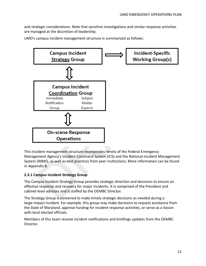and strategic considerations. Note that sensitive investigations and similar response activities are managed at the discretion of leadership.

UMD's campus incident management structure is summarized as follows:



This incident management structure incorporates tenets of the Federal Emergency Management Agency's Incident Command System (ICS) and the National Incident Management System (NIMS), as well as best practices from peer institutions. More information can be found in Appendix B.

#### <span id="page-10-0"></span>**2.3.1 Campus Incident Strategy Group**

The Campus Incident Strategy Group provides strategic direction and decisions to ensure an effective response and recovery for major incidents. It is comprised of the President and cabinet-level advisors and is staffed by the OEMBC Director.

The Strategy Group is convened to make timely strategic decisions as needed during a large-impact incident. For example, this group may make decisions to request assistance from the State of Maryland, approve funding for incident response activities, or serve as a liaison with local elected officials.

Members of this team receive incident notifications and briefings updates from the OEMBC Director.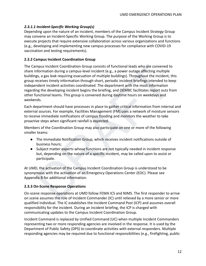#### *2.3.1.1 Incident-Specific Working Group(s)*

Depending upon the nature of an incident, members of the Campus Incident Strategy Group may convene an Incident-Specific Working Group. The purpose of the Working Group is to execute projects that require extensive collaboration across various organizations and functions (e.g., developing and implementing new campus processes for compliance with COVID-19 vaccination and testing requirements).

#### <span id="page-11-0"></span>**2.3.2 Campus Incident Coordination Group**

mpus Incident Coordination Group consists of functional leads who are convened to<br>normation during a campus-level incident, e.g., a power outage affecting multiple<br>gs, a gas leak requiring evacuation of multiple buildings) The Campus Incident Coordination Group consists of functional leads who are convened to share information during a campus-level incident (e.g., a power outage affecting multiple buildings, a gas leak requiring evacuation of multiple buildings). Throughout the incident, this group receives timely information through short, periodic incident briefings intended to keep independent incident activities coordinated. The department with the most information regarding the developing incident begins the briefing, and OEMBC facilitates report outs from other functional teams. This group is convened during daytime hours on weekdays and weekends.

Each department should have processes in place to gather critical information from internal and external sources. For example, Facilities Management (FM) uses a network of moisture sensors to receive immediate notifications of campus flooding and monitors the weather to take proactive steps when significant rainfall is expected.

Members of the Coordination Group may also participate on one or more of the following smaller teams:

- The Immediate Notification Group, which receives incident notifications outside of business hours;
- Subject matter experts whose functions are not typically needed in incident response but, depending on the nature of a specific incident, may be called upon to assist or participate.

At UMD, the activation of the Campus Incident Coordination Group is understood to be synonymous with the activation of an Emergency Operations Center (EOC). Please see Appendix B for additional information.

#### <span id="page-11-1"></span>**2.3.3 On-Scene Response Operations**

On-scene response operations at UMD follow FEMA ICS and NIMS. The first responder to arrive on scene assumes the role of Incident Commander (IC) until relieved by a more senior or more qualified individual. The IC establishes the Incident Command Post (ICP) and assumes overall responsibility for the incident. During an incident briefing, the ICP is charged with communicating updates to the Campus Incident Coordination Group.

Incident Command is replaced by Unified Command (UC) when multiple Incident Commanders representing two or more responding agencies are involved in the response. It is used by the Department of Public Safety (DPS) to coordinate activities with external responders. Multiple responding agencies may be required due to functional responsibilities (e.g., firefighting, public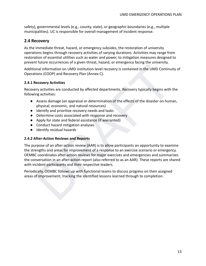safety), governmental levels (e.g., county, state), or geographic boundaries (e.g., multiple municipalities). UC is responsible for overall management of incident response.

#### <span id="page-12-0"></span>**2.4 Recovery**

As the immediate threat, hazard, or emergency subsides, the restoration of university operations begins through recovery activities of varying durations. Activities may range from restoration of essential utilities such as water and power, to mitigation measures designed to prevent future occurrences of a given threat, hazard, or emergency facing the university.

Additional information on UMD institution-level recovery is contained in the UMD Continuity of Operations (COOP) and Recovery Plan (Annex C).

#### <span id="page-12-1"></span>**2.4.1 Recovery Activities**

Recovery activities are conducted by affected departments. Recovery typically begins with the following activities:

- Assess damage (an appraisal or determination of the effects of the disaster on human, physical, economic, and natural resources)
- Identify and prioritize recovery needs and tasks
- Determine costs associated with response and recovery
- Apply for state and federal assistance (if warranted)
- Conduct hazard mitigation analyses
- Identify residual hazards

#### <span id="page-12-2"></span>**2.4.2 After-Action Reviews and Reports**

Fraction control in the UMD institution-level recovery is contained in the UMD Continuity of<br>tional information on UMD institution-level recovery is contained in the UMD Continuity of<br>tions (COOP) and Recovery Plan (Annex The purpose of an after-action review (AAR) is to allow participants an opportunity to examine the strengths and areas for improvement of a response to an exercise scenario or emergency. OEMBC coordinates after-action reviews for major exercises and emergencies and summarizes the conversation in an after-action report (also referred to as an AAR). These reports are shared with incident participants and their respective leaders.

Periodically, OEMBC follows up with functional teams to discuss progress on their assigned areas of improvement, tracking the identified lessons learned through to completion.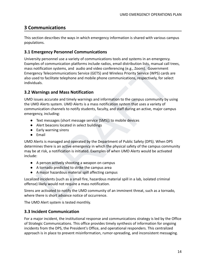# <span id="page-13-0"></span>**3 Communications**

This section describes the ways in which emergency information is shared with various campus populations.

## <span id="page-13-1"></span>**3.1 Emergency Personnel Communications**

ies or communication pairomem includer ataios, email distribution lists, manual calib<br>totification systems, and atidio and video conferencing (e.g., Zoom). Government<br>ency Telecommunications Service (GETS) and Wireless Pri University personnel use a variety of communications tools and systems in an emergency. Examples of communication platforms include radios, email distribution lists, manual call trees, mass notification systems, and audio and video conferencing (e.g., Zoom). Government Emergency Telecommunications Service (GETS) and Wireless Priority Service (WPS) cards are also used to facilitate telephone and mobile phone communications, respectively, for select individuals.

## <span id="page-13-2"></span>**3.2 Warnings and Mass Notification**

UMD issues accurate and timely warnings and information to the campus community by using the UMD Alerts system. UMD Alerts is a mass notification system that uses a variety of communication channels to notify students, faculty, and staff during an active, major campus emergency, including:

- Text messages (short message service [SMS]) to mobile devices
- Alert beacons located in select buildings
- Early warning sirens
- Email

UMD Alerts is managed and operated by the Department of Public Safety (DPS). When DPS determines there is an active emergency in which the physical safety of the campus community may be at risk, a notification is initiated. Examples of when UMD Alerts would be activated include:

- A person actively shooting a weapon on campus
- A tornado predicted to strike the campus area
- A major hazardous material spill affecting campus

Localized incidents (such as a small fire, hazardous material spill in a lab, isolated criminal offense) likely would not require a mass notification.

Sirens are activated to notify the UMD community of an imminent threat, such as a tornado, where there is short advance notice of occurrence.

The UMD Alert system is tested monthly.

## <span id="page-13-3"></span>**3.3 Incident Communication**

For a major incident, the institutional response and communications strategy is led by the Office of Strategic Communications. This office provides timely synthesis of information for ongoing incidents from the DPS, the President's Office, and operational responders. This centralized approach is in place to prevent misinformation, rumor-spreading, and inconsistent messaging.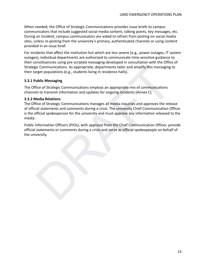When needed, the Office of Strategic Communications provides issue briefs to campus communicators that include suggested social media content, talking points, key messages, etc. During an incident, campus communicators are asked to refrain from posting on social media sites, unless re-posting from the university's primary, authenticated channels or using content provided in an issue brief.

For incidents that affect the institution but which are less severe (e.g., power outages, IT system outages), individual departments are authorized to communicate time-sensitive guidance to their constituencies using pre-scripted messaging developed in consultation with the Office of Strategic Communications. As appropriate, departments tailor and amplify this messaging to their target populations (e.g., students living in residence halls).

#### <span id="page-14-0"></span>**3.3.1 Public Messaging**

The Office of Strategic Communications employs an appropriate mix of communications channels to transmit information and updates for ongoing incidents (Annex C).

#### **3.3.2 Media Relations**

Extended the approach and properties taken and properties and properties taken and applify this messaging to<br>gic Communications. As appropriate, departments tailor and amplify this messaging to<br>grape tropulations (e.g., st The Office of Strategic Communications manages all media inquiries and approves the release of official statements and comments during a crisis. The university Chief Communication Officer is the official spokesperson for the university and must approve any information released to the media.

Public Information Officers (PIOs), with approval from the Chief Communication Officer, provide official statements or comments during a crisis and serve as official spokespeople on behalf of the university.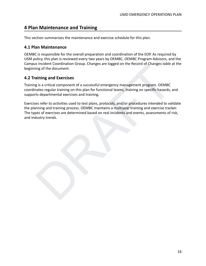# <span id="page-15-0"></span>**4 Plan Maintenance and Training**

This section summarizes the maintenance and exercise schedule for this plan.

#### <span id="page-15-1"></span>**4.1 Plan Maintenance**

OEMBC is responsible for the overall preparation and coordination of the EOP. As required by USM policy, this plan is reviewed every two years by OEMBC, OEMBC Program Advisors, and the Campus Incident Coordination Group. Changes are logged on the Record of Changes table at the beginning of the document.

## <span id="page-15-2"></span>**4.2 Training and Exercises**

Training is a critical component of a successful emergency management program. OEMBC coordinates regular training on this plan for functional teams, training on specific hazards, and supports departmental exercises and training.

is incluent Coordination Group. Changes are logged on the Record of Changes table at the<br>aining and Exercises<br>g is a critical component of a successful emergency management program. OEMBC<br>nates regular training on this pla Exercises refer to activities used to test plans, protocols, and/or procedures intended to validate the planning and training process. OEMBC maintains a multiyear training and exercise tracker. The types of exercises are determined based on real incidents and events, assessments of risk, and industry trends.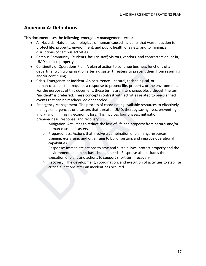# <span id="page-16-0"></span>**Appendix A: Definitions**

This document uses the following emergency management terms:

- All Hazards: Natural, technological, or human-caused incidents that warrant action to protect life, property, environment, and public health or safety, and to minimize disruptions of campus activities.
- Campus Community: Students, faculty, staff, visitors, vendors, and contractors on, or in, UMD campus property.
- Continuity of Operations Plan: A plan of action to continue business functions of a department/unit/organization after a disaster threatens to prevent them from resuming and/or continuing.
- Continuity of Operations Plan: A plan of action to continue business functions of a<br>department/unity(organization after a disaster threatens to prevent them from resuming<br>and/or continuing.<br>Crisis, Emergency, or Incident: ● Crisis, Emergency, or Incident: An occurrence—natural, technological, or human-caused—that requires a response to protect life, property, or the environment. For the purposes of this document, these terms are interchangeable, although the term "incident" is preferred. These concepts contrast with activities related to pre-planned events that can be rescheduled or canceled.
- Emergency Management: The process of coordinating available resources to effectively manage emergencies or disasters that threaten UMD, thereby saving lives, preventing injury, and minimizing economic loss. This involves four phases: mitigation, preparedness, response, and recovery.
	- Mitigation: Activities to reduce the loss of life and property from natural and/or human-caused disasters.
	- Preparedness: Actions that involve a combination of planning, resources, training, exercising, and organizing to build, sustain, and improve operational capabilities.
	- Response: Immediate actions to save and sustain lives, protect property and the environment, and meet basic human needs. Response also includes the execution of plans and actions to support short-term recovery.
	- Recovery: The development, coordination, and execution of activities to stabilize critical functions after an incident has occured.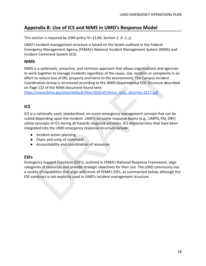# <span id="page-17-0"></span>**Appendix B: Use of ICS and NIMS in UMD's Response Model**

This section is required by USM policy VI–13.00, Section 2. A. 1. j).

UMD's incident management structure is based on the tenets outlined in the Federal Emergency Management Agency (FEMA)'s National Incident Management System (NIMS) and Incident Command System (ICS).

#### **NIMS**

s a systematic, proactive, and common approach that allows organizations and agencies<br>k together to manage incidents regardless of the cause, size, location or complexity in an<br>or ceduce loss of life, property and harm to NIMS is a systematic, proactive, and common approach that allows organizations and agencies to work together to manage incidents regardless of the cause, size, location or complexity in an effort to reduce loss of life, property and harm to the environment. The Campus Incident Coordination Group is structured according to the NIMS Departmental EOC Structure described on Page 122 of the NIMS document found here:

https://www.fema.gov/sites/default/files/2020-07/fema\_nims\_doctrine-2017.pdf.

## **ICS**

ICS is a nationally used, standardized, on-scene emergency management concept that can be scaled depending upon the incident. UMD's on-scene response teams (e.g., UMPD, FM, DRF) utilize concepts of ICS during all-hazards response activities. ICS characteristics that have been integrated into the UMD emergency response structure include:

- Incident action planning
- Chain and unity of command
- Accountability and coordination of resources

## **ESFs**

Emergency Support Functions (ESFs), outlined in FEMA's National Response Framework, align categories of resources and provide strategic objectives for their use. The UMD community has a variety of capabilities that align with most of FEMA's ESFs, as summarized below, although the ESF construct is not explicitly used in UMD's incident management structure.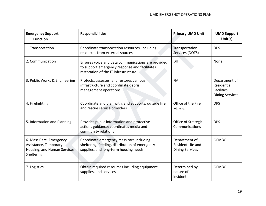| <b>Emergency Support</b><br><b>Function</b>                                                                                                                     | <b>Responsibilities</b>                                                                                                             | <b>Primary UMD Unit</b>                                      | <b>UMD Support</b><br>Unit(s)                                         |
|-----------------------------------------------------------------------------------------------------------------------------------------------------------------|-------------------------------------------------------------------------------------------------------------------------------------|--------------------------------------------------------------|-----------------------------------------------------------------------|
| Coordinate transportation resources, including<br>1. Transportation<br>resources from external sources                                                          |                                                                                                                                     | Transportation<br>Services (DOTS)                            | <b>DPS</b>                                                            |
| 2. Communication<br>Ensures voice and data communications are provided<br>to support emergency response and facilitates<br>restoration of the IT infrastructure |                                                                                                                                     | <b>DIT</b>                                                   | None                                                                  |
| 3. Public Works & Engineering                                                                                                                                   | Protects, assesses, and restores campus<br>infrastructure and coordinate debris<br>management operations                            | <b>FM</b>                                                    | Department of<br>Residential<br>Facilities,<br><b>Dining Services</b> |
| 4. Firefighting                                                                                                                                                 | Coordinate and plan with, and supports, outside fire<br>and rescue service providers                                                | Office of the Fire<br>Marshal                                | <b>DPS</b>                                                            |
| 5. Information and Planning                                                                                                                                     | Provides public information and protective<br>actions guidance; coordinates media and<br>community relations                        | Office of Strategic<br>Communications                        | <b>DPS</b>                                                            |
| 6. Mass Care, Emergency<br>Assistance, Temporary<br>Housing, and Human Services<br>Sheltering                                                                   | Coordinate emergency mass care including<br>sheltering, feeding, distribution of emergency<br>supplies, and long-term housing needs | Department of<br>Resident Life and<br><b>Dining Services</b> | <b>OEMBC</b>                                                          |
| 7. Logistics                                                                                                                                                    | Obtain required resources including equipment,<br>supplies, and services                                                            | Determined by<br>nature of<br>incident                       | <b>OEMBC</b>                                                          |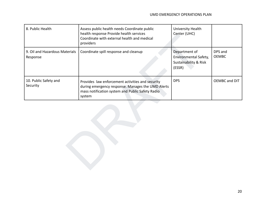| 8. Public Health                                                                                                                                                                                         | Assess public health needs Coordinate public<br>health response Provide health services<br>Coordinate with external health and medical<br>providers | University Health<br>Center (UHC)                                         |                         |
|----------------------------------------------------------------------------------------------------------------------------------------------------------------------------------------------------------|-----------------------------------------------------------------------------------------------------------------------------------------------------|---------------------------------------------------------------------------|-------------------------|
| 9. Oil and Hazardous Materials<br>Response                                                                                                                                                               | Coordinate spill response and cleanup                                                                                                               | Department of<br>Environmental Safety,<br>Sustainability & Risk<br>(ESSR) | DPS and<br><b>OEMBC</b> |
| 10. Public Safety and<br>Provides law enforcement activities and security<br>Security<br>during emergency response. Manages the UMD Alerts<br>mass notification system and Public Safety Radio<br>system |                                                                                                                                                     | <b>DPS</b>                                                                | OEMBC and DIT           |
|                                                                                                                                                                                                          |                                                                                                                                                     |                                                                           |                         |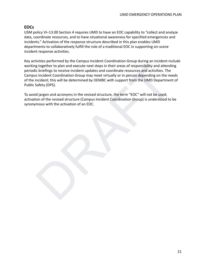## **EOCs**

USM policy VI–13.00 Section 4 requires UMD to have an EOC capability to "collect and analyze data, coordinate resources, and to have situational awareness for specified emergencies and incidents." Activation of the response structure described in this plan enables UMD departments to collaboratively fulfill the role of a traditional EOC in supporting on-scene incident response activities.

g together to plan and execute next steps in their areas of responsibility and attending<br>to briefings to receive incident updates and coordinate resources and activities. The<br>incident Coordination Group may meet virtually Key activities performed by the Campus Incident Coordination Group during an incident include working together to plan and execute next steps in their areas of responsibility and attending periodic briefings to receive incident updates and coordinate resources and activities. The Campus Incident Coordination Group may meet virtually or in person depending on the needs of the incident; this will be determined by OEMBC with support from the UMD Department of Public Safety (DPS).

To avoid jargon and acronyms in the revised structure, the term "EOC" will not be used; activation of the revised structure (Campus Incident Coordination Group) is understood to be synonymous with the activation of an EOC.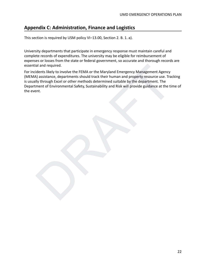# <span id="page-21-0"></span>**Appendix C: Administration, Finance and Logistics**

This section is required by USM policy VI–13.00, Section 2. B. 1. a).

University departments that participate in emergency response must maintain careful and complete records of expenditures. The university may be eligible for reimbursement of expenses or losses from the state or federal government, so accurate and thorough records are essential and required.

idents likely to involve the FEMA or the Maryland Emergency Management Agency<br>Massistance, departments should track their human and property resource use. Tracking<br>Ily through Excel or other methods determined suitable by For incidents likely to involve the FEMA or the Maryland Emergency Management Agency (MEMA) assistance, departments should track their human and property resource use. Tracking is usually through Excel or other methods determined suitable by the department. The Department of Environmental Safety, Sustainability and Risk will provide guidance at the time of the event.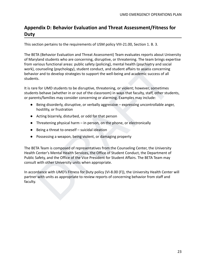# <span id="page-22-0"></span>**Appendix D: Behavior Evaluation and Threat Assessment/Fitness for Duty**

This section pertains to the requirements of USM policy VIII‐21.00, Section 1. B. 3.

arious tunctional areas; public satety (policing), mental helatifi (psychiary and social<br>counseling (psychology), student conduct, and student affairs to assess concerning<br>or and to develop strategies to support the well-b The BETA (Behavior Evaluation and Threat Assessment) Team evaluates reports about University of Maryland students who are concerning, disruptive, or threatening. The team brings expertise from various functional areas: public safety (policing), mental health (psychiatry and social work), counseling (psychology), student conduct, and student affairs to assess concerning behavior and to develop strategies to support the well-being and academic success of all students.

It is rare for UMD students to be disruptive, threatening, or violent; however, sometimes students behave (whether in or out of the classroom) in ways that faculty, staff, other students, or parents/families may consider concerning or alarming. Examples may include:

- Being disorderly, disruptive, or verbally aggressive expressing uncontrollable anger, hostility, or frustration
- Acting bizarrely, disturbed, or odd for that person
- Threatening physical harm in person, on the phone, or electronically
- Being a threat to oneself suicidal ideation
- Possessing a weapon, being violent, or damaging property

The BETA Team is composed of representatives from the Counseling Center, the University Health Center's Mental Health Services, the Office of Student Conduct, the Department of Public Safety, and the Office of the Vice President for Student Affairs. The BETA Team may consult with other University units when appropriate.

In accordance with UMD's Fitness for Duty policy (VI-8.00 (F)), the University Health Center will partner with units as appropriate to review reports of concerning behavior from staff and faculty.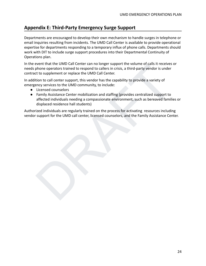# <span id="page-23-0"></span>**Appendix E: Third-Party Emergency Surge Support**

Departments are encouraged to develop their own mechanism to handle surges in telephone or email inquiries resulting from incidents. The UMD Call Center is available to provide operational expertise for departments responding to a temporary influx of phone calls. Departments should work with DIT to include surge support procedures into their Departmental Continuity of Operations plan.

In the event that the UMD Call Center can no longer support the volume of calls it receives or needs phone operators trained to respond to callers in crisis, a third-party vendor is under contract to supplement or replace the UMD Call Center.

In addition to call center support, this vendor has the capability to provide a variety of emergency services to the UMD community, to include:

- Licensed counselors
- event finat ne UNID call center can no longer support me volume of can strecteves or<br>phone operators trained to respond to callers in crisis, a third-party vendor is under<br>to supplement or replace the UMD Call Center.<br>It i ● Family Assistance Center mobilization and staffing (provides centralized support to affected individuals needing a compassionate environment, such as bereaved families or displaced residence hall students)

Authorized individuals are regularly trained on the process for activating resources including vendor support for the UMD call center, licensed counselors, and the Family Assistance Center.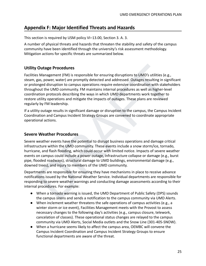# <span id="page-24-0"></span>**Appendix F: Major Identified Threats and Hazards**

This section is required by USM policy VI–13.00, Section 3. A. 3.

A number of physical threats and hazards that threaten the stability and safety of the campus community have been identified through the university's risk assessment methodology. Mitigation actions for specific threats are summarized below.

## **Utility Outage Procedures**

**/ Outage Procedures**<br>
es Management (FM) is responsible for ensuring disruptions to UMD's utilities (e.g.,<br>
ags, power, water) are promptly detected and addressed. Outages resulting in significant<br>
onged disruption to cam Facilities Management (FM) is responsible for ensuring disruptions to UMD's utilities (e.g., steam, gas, power, water) are promptly detected and addressed. Outages resulting in significant or prolonged disruption to campus operations require extensive coordination with stakeholders throughout the UMD community. FM maintains internal procedures as well as higher-level coordination protocols describing the ways in which UMD departments work together to restore utility operations and mitigate the impacts of outages. These plans are reviewed regularly by FM leadership.

If a utility outage results in significant damage or disruption to the campus, the Campus Incident Coordination and Campus Incident Strategy Groups are convened to coordinate appropriate operational actions.

#### **Severe Weather Procedures**

Severe weather events have the potential to disrupt business operations and damage critical infrastructure within the UMD community. These events include a snow storm/ice, tornado, hurricane, and flash flooding, which could occur with limited notice. Impacts of severe weather events on campus could include a power outage, infrastructure collapse or damage (e.g., burst pipe, flooded roadways), structural damage to UMD buildings, environmental damage (e.g., downed trees), and injury to members of the UMD community.

Departments are responsible for ensuring they have mechanisms in place to receive advance notifications issued by the National Weather Service. Individual departments are responsible for responding to severe weather warnings and conducting damage assessments according to their internal procedures. For example:

- When a tornado warning is issued, the UMD Department of Public Safety (DPS) sounds the campus sirens and sends a notification to the campus community via UMD Alerts.
- When inclement weather threatens the safe operations of campus activities (e.g., a winter storm or ice event), Facilities Management meets with the Provost to assess necessary changes to the following day's activities (e.g., campus closure, telework, cancelation of classes). These operational status changes are relayed to the campus community via UMD Alerts, Social Media outlets and the Snow Line (301-405-SNOW).
- When a hurricane seems likely to affect the campus area, OEMBC will convene the Campus Incident Coordination and Campus Incident Strategy Groups to ensure functional departments are aware of the threat.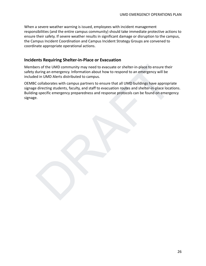When a severe weather warning is issued, employees with incident management responsibilities (and the entire campus community) should take immediate protective actions to ensure their safety. If severe weather results in significant damage or disruption to the campus, the Campus Incident Coordination and Campus Incident Strategy Groups are convened to coordinate appropriate operational actions.

#### **Incidents Requiring Shelter-in-Place or Evacuation**

Members of the UMD community may need to evacuate or shelter-in-place to ensure their safety during an emergency. Information about how to respond to an emergency will be included in UMD Alerts distributed to campus.

ers of the UMD community may need to evacuate or shelter-in-place to ensure their<br>during an emergency. Information about how to respond to an emergency will be<br>din UMD Alerts distributed to campus.<br>C collaborates with camp OEMBC collaborates with campus partners to ensure that all UMD buildings have appropriate signage directing students, faculty, and staff to evacuation routes and shelter-in-place locations. Building-specific emergency preparedness and response protocols can be found on emergency signage.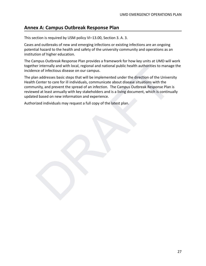# <span id="page-26-0"></span>**Annex A: Campus Outbreak Response Plan**

This section is required by USM policy VI–13.00, Section 3. A. 3.

Cases and outbreaks of new and emerging infections or existing infections are an ongoing potential hazard to the health and safety of the university community and operations as an institution of higher education.

The Campus Outbreak Response Plan provides a framework for how key units at UMD will work together internally and with local, regional and national public health authorities to manage the incidence of infectious disease on our campus.

er internally and with local, regional and national public health authorities to manage the<br>ce of infectious disease on our campus.<br>In addresses basic steps that will be implemented under the direction of the University<br>Ce The plan addresses basic steps that will be implemented under the direction of the University Health Center to care for ill individuals, communicate about disease situations with the community, and prevent the spread of an infection. The Campus Outbreak Response Plan is reviewed at least annually with key stakeholders and is a living document, which is continually updated based on new information and experience.

Authorized individuals may request a full copy of the latest plan.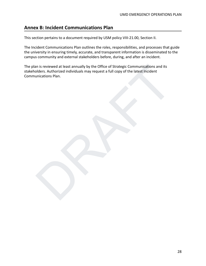# <span id="page-27-0"></span>**Annex B: Incident Communications Plan**

This section pertains to a document required by USM policy VIII‐21.00, Section II.

The Incident Communications Plan outlines the roles, responsibilities, and processes that guide the university in ensuring timely, accurate, and transparent information is disseminated to the campus community and external stakeholders before, during, and after an incident.

The plan is reviewed at least annually by the Office of Strategic Communications and its stakeholders. Authorized individuals may request a full copy of the latest Incident Communications Plan.

an is reviewed at least annually by the Office of Strategic Communications and its<br>olders. Authorized individuals may request a full copy of the latest incident<br>unications Plan.